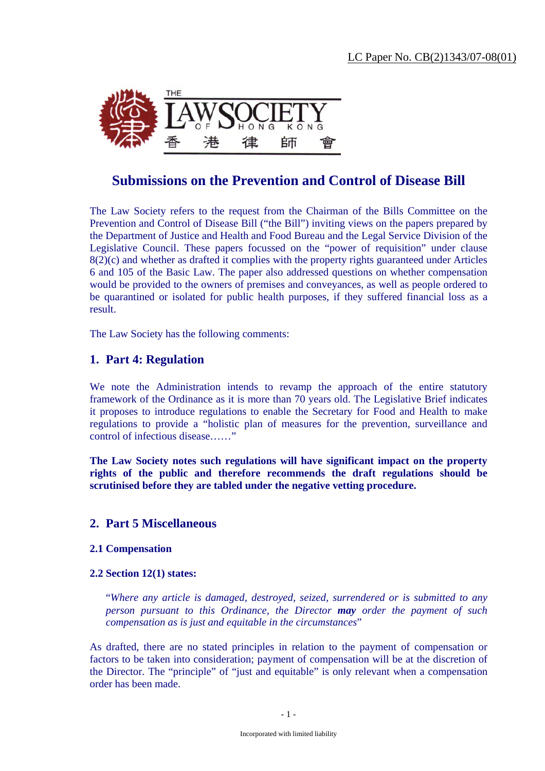

# **Submissions on the Prevention and Control of Disease Bill**

The Law Society refers to the request from the Chairman of the Bills Committee on the Prevention and Control of Disease Bill ("the Bill") inviting views on the papers prepared by the Department of Justice and Health and Food Bureau and the Legal Service Division of the Legislative Council. These papers focussed on the "power of requisition" under clause 8(2)(c) and whether as drafted it complies with the property rights guaranteed under Articles 6 and 105 of the Basic Law. The paper also addressed questions on whether compensation would be provided to the owners of premises and conveyances, as well as people ordered to be quarantined or isolated for public health purposes, if they suffered financial loss as a result.

The Law Society has the following comments:

# **1. Part 4: Regulation**

We note the Administration intends to revamp the approach of the entire statutory framework of the Ordinance as it is more than 70 years old. The Legislative Brief indicates it proposes to introduce regulations to enable the Secretary for Food and Health to make regulations to provide a "holistic plan of measures for the prevention, surveillance and control of infectious disease……"

**The Law Society notes such regulations will have significant impact on the property rights of the public and therefore recommends the draft regulations should be scrutinised before they are tabled under the negative vetting procedure.** 

# **2. Part 5 Miscellaneous**

# **2.1 Compensation**

# **2.2 Section 12(1) states:**

"*Where any article is damaged, destroyed, seized, surrendered or is submitted to any person pursuant to this Ordinance, the Director may order the payment of such compensation as is just and equitable in the circumstances*"

As drafted, there are no stated principles in relation to the payment of compensation or factors to be taken into consideration; payment of compensation will be at the discretion of the Director. The "principle" of "just and equitable" is only relevant when a compensation order has been made.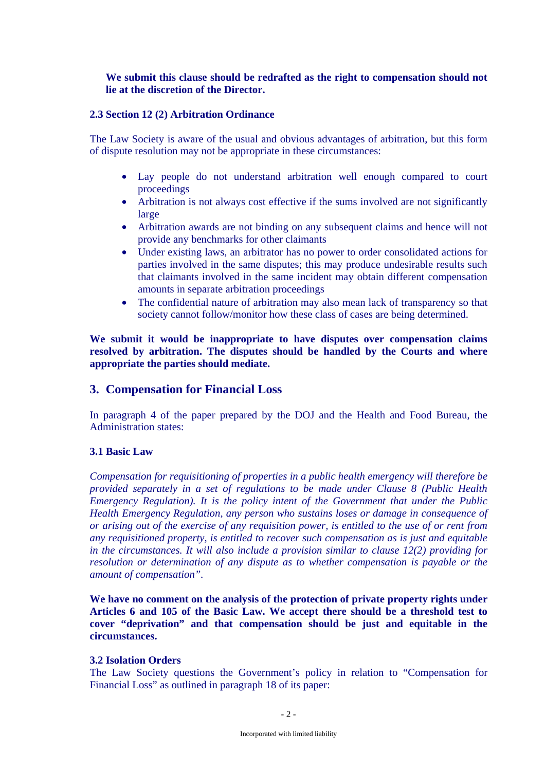# **We submit this clause should be redrafted as the right to compensation should not lie at the discretion of the Director.**

#### **2.3 Section 12 (2) Arbitration Ordinance**

The Law Society is aware of the usual and obvious advantages of arbitration, but this form of dispute resolution may not be appropriate in these circumstances:

- Lay people do not understand arbitration well enough compared to court proceedings
- Arbitration is not always cost effective if the sums involved are not significantly large
- Arbitration awards are not binding on any subsequent claims and hence will not provide any benchmarks for other claimants
- Under existing laws, an arbitrator has no power to order consolidated actions for parties involved in the same disputes; this may produce undesirable results such that claimants involved in the same incident may obtain different compensation amounts in separate arbitration proceedings
- The confidential nature of arbitration may also mean lack of transparency so that society cannot follow/monitor how these class of cases are being determined.

**We submit it would be inappropriate to have disputes over compensation claims resolved by arbitration. The disputes should be handled by the Courts and where appropriate the parties should mediate.** 

# **3. Compensation for Financial Loss**

In paragraph 4 of the paper prepared by the DOJ and the Health and Food Bureau, the Administration states:

# **3.1 Basic Law**

*Compensation for requisitioning of properties in a public health emergency will therefore be provided separately in a set of regulations to be made under Clause 8 (Public Health Emergency Regulation). It is the policy intent of the Government that under the Public Health Emergency Regulation, any person who sustains loses or damage in consequence of or arising out of the exercise of any requisition power, is entitled to the use of or rent from any requisitioned property, is entitled to recover such compensation as is just and equitable in the circumstances. It will also include a provision similar to clause 12(2) providing for resolution or determination of any dispute as to whether compensation is payable or the amount of compensation".* 

**We have no comment on the analysis of the protection of private property rights under Articles 6 and 105 of the Basic Law. We accept there should be a threshold test to cover "deprivation" and that compensation should be just and equitable in the circumstances.** 

#### **3.2 Isolation Orders**

The Law Society questions the Government's policy in relation to "Compensation for Financial Loss" as outlined in paragraph 18 of its paper: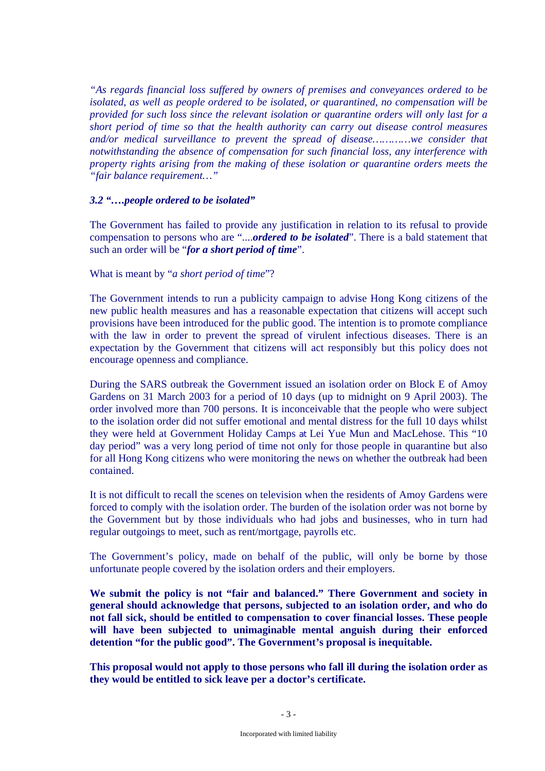*"As regards financial loss suffered by owners of premises and conveyances ordered to be isolated, as well as people ordered to be isolated, or quarantined, no compensation will be provided for such loss since the relevant isolation or quarantine orders will only last for a short period of time so that the health authority can carry out disease control measures and/or medical surveillance to prevent the spread of disease…………we consider that notwithstanding the absence of compensation for such financial loss, any interference with property rights arising from the making of these isolation or quarantine orders meets the "fair balance requirement…"* 

#### *3.2 "….people ordered to be isolated"*

The Government has failed to provide any justification in relation to its refusal to provide compensation to persons who are "....*ordered to be isolated*". There is a bald statement that such an order will be "*for a short period of time*".

#### What is meant by "*a short period of time*"?

The Government intends to run a publicity campaign to advise Hong Kong citizens of the new public health measures and has a reasonable expectation that citizens will accept such provisions have been introduced for the public good. The intention is to promote compliance with the law in order to prevent the spread of virulent infectious diseases. There is an expectation by the Government that citizens will act responsibly but this policy does not encourage openness and compliance.

During the SARS outbreak the Government issued an isolation order on Block E of Amoy Gardens on 31 March 2003 for a period of 10 days (up to midnight on 9 April 2003). The order involved more than 700 persons. It is inconceivable that the people who were subject to the isolation order did not suffer emotional and mental distress for the full 10 days whilst they were held at Government Holiday Camps at Lei Yue Mun and MacLehose. This "10 day period" was a very long period of time not only for those people in quarantine but also for all Hong Kong citizens who were monitoring the news on whether the outbreak had been contained.

It is not difficult to recall the scenes on television when the residents of Amoy Gardens were forced to comply with the isolation order. The burden of the isolation order was not borne by the Government but by those individuals who had jobs and businesses, who in turn had regular outgoings to meet, such as rent/mortgage, payrolls etc.

The Government's policy, made on behalf of the public, will only be borne by those unfortunate people covered by the isolation orders and their employers.

**We submit the policy is not "fair and balanced." There Government and society in general should acknowledge that persons, subjected to an isolation order, and who do not fall sick, should be entitled to compensation to cover financial losses. These people will have been subjected to unimaginable mental anguish during their enforced detention "for the public good". The Government's proposal is inequitable.** 

**This proposal would not apply to those persons who fall ill during the isolation order as they would be entitled to sick leave per a doctor's certificate.**